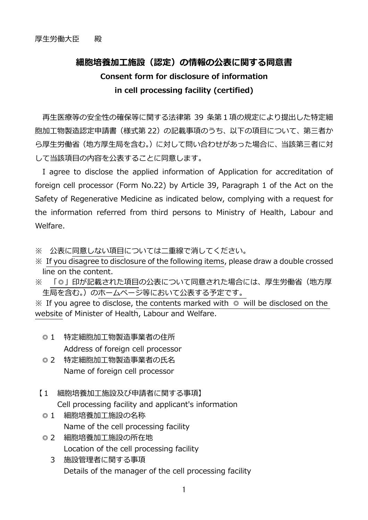## 細胞培養加工施設(認定)の情報の公表に関する同意書 Consent form for disclosure of information in cell processing facility (certified)

再⽣医療等の安全性の確保等に関する法律第 39 条第1項の規定により提出した特定細 胞加工物製造認定申請書 (様式第 22) の記載事項のうち、以下の項目について、第三者か ら厚牛労働省 (地方厚牛局を含む。) に対して問い合わせがあった場合に、当該第三者に対 して当該項目の内容を公表することに同意します。

I agree to disclose the applied information of Application for accreditation of foreign cell processor (Form No.22) by Article 39, Paragraph 1 of the Act on the Safety of Regenerative Medicine as indicated below, complying with a request for the information referred from third persons to Ministry of Health, Labour and Welfare.

※ 公表に同意しない項目については二重線で消してください。

- ※ If you disagree to disclosure of the following items, please draw a double crossed line on the content.
- ※ 「◎」印が記載された項目の公表について同意された場合には、厚牛労働省(地方厚 生局を含む。)のホームページ等において公表する予定です。

 $\%$  If you agree to disclose, the contents marked with  $\circ$  will be disclosed on the website of Minister of Health, Labour and Welfare.

- ◎ 1 特定細胞加工物製造事業者の住所 Address of foreign cell processor
- ◎2 特定細胞加工物製造事業者の氏名 Name of foreign cell processor
- 【1 細胞培養加工施設及び申請者に関する事項】 Cell processing facility and applicant's information
- ◎ 1 細胞培養加工施設の名称 Name of the cell processing facility
- ◎ 2 細胞培養加工施設の所在地 Location of the cell processing facility
	- 3 施設管理者に関する事項 Details of the manager of the cell processing facility